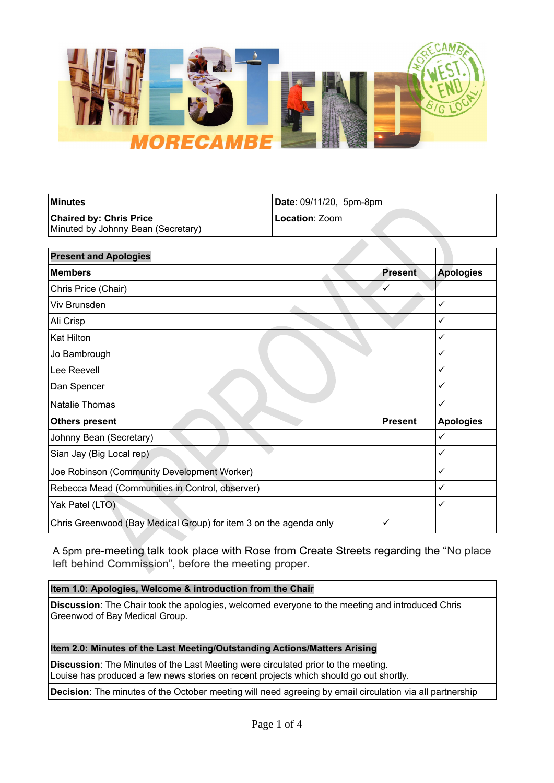

| ∣Minutes                           | Date: 09/11/20, 5pm-8pm |
|------------------------------------|-------------------------|
| <b>Chaired by: Chris Price</b>     | Location: Zoom          |
| Minuted by Johnny Bean (Secretary) |                         |

| <b>Present and Apologies</b>                                      |                |                  |
|-------------------------------------------------------------------|----------------|------------------|
| <b>Members</b>                                                    | <b>Present</b> | <b>Apologies</b> |
| Chris Price (Chair)                                               | ✓              |                  |
| Viv Brunsden                                                      |                | ✓                |
| Ali Crisp                                                         |                | ✓                |
| <b>Kat Hilton</b>                                                 |                | ✓                |
| Jo Bambrough                                                      |                | ✓                |
| Lee Reevell                                                       |                | ✓                |
| Dan Spencer                                                       |                | ✓                |
| <b>Natalie Thomas</b>                                             |                | ✓                |
| <b>Others present</b>                                             | <b>Present</b> | <b>Apologies</b> |
| Johnny Bean (Secretary)                                           |                | ✓                |
| Sian Jay (Big Local rep)                                          |                | ✓                |
| Joe Robinson (Community Development Worker)                       |                | ✓                |
| Rebecca Mead (Communities in Control, observer)                   |                | ✓                |
| Yak Patel (LTO)                                                   |                | ✓                |
| Chris Greenwood (Bay Medical Group) for item 3 on the agenda only |                |                  |

A 5pm pre-meeting talk took place with Rose from Create Streets regarding the "No place left behind Commission", before the meeting proper.

# **Item 1.0: Apologies, Welcome & introduction from the Chair**

**Discussion**: The Chair took the apologies, welcomed everyone to the meeting and introduced Chris Greenwod of Bay Medical Group.

# **Item 2.0: Minutes of the Last Meeting/Outstanding Actions/Matters Arising**

**Discussion**: The Minutes of the Last Meeting were circulated prior to the meeting. Louise has produced a few news stories on recent projects which should go out shortly.

**Decision**: The minutes of the October meeting will need agreeing by email circulation via all partnership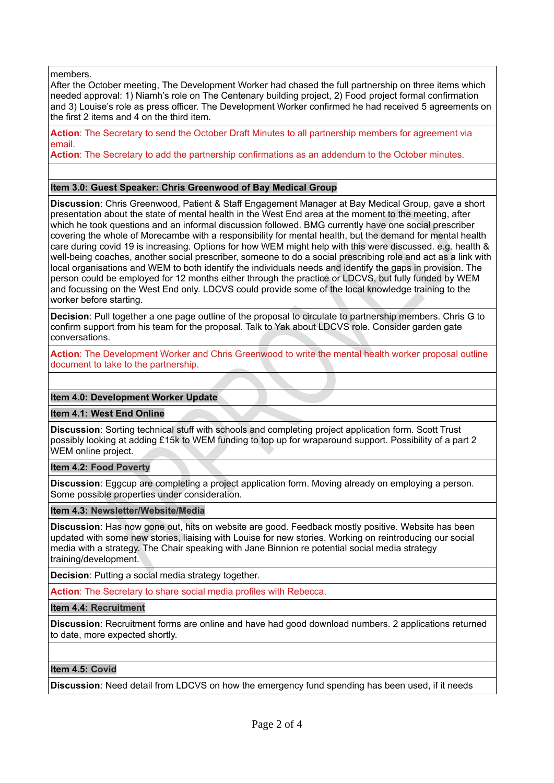members.

After the October meeting, The Development Worker had chased the full partnership on three items which needed approval: 1) Niamh's role on The Centenary building project, 2) Food project formal confirmation and 3) Louise's role as press officer. The Development Worker confirmed he had received 5 agreements on the first 2 items and 4 on the third item.

**Action**: The Secretary to send the October Draft Minutes to all partnership members for agreement via email.

**Action**: The Secretary to add the partnership confirmations as an addendum to the October minutes.

#### **Item 3.0: Guest Speaker: Chris Greenwood of Bay Medical Group**

**Discussion**: Chris Greenwood, Patient & Staff Engagement Manager at Bay Medical Group, gave a short presentation about the state of mental health in the West End area at the moment to the meeting, after which he took questions and an informal discussion followed. BMG currently have one social prescriber covering the whole of Morecambe with a responsibility for mental health, but the demand for mental health care during covid 19 is increasing. Options for how WEM might help with this were discussed. e.g. health & well-being coaches, another social prescriber, someone to do a social prescribing role and act as a link with local organisations and WEM to both identify the individuals needs and identify the gaps in provision. The person could be employed for 12 months either through the practice or LDCVS, but fully funded by WEM and focussing on the West End only. LDCVS could provide some of the local knowledge training to the worker before starting.

**Decision**: Pull together a one page outline of the proposal to circulate to partnership members. Chris G to confirm support from his team for the proposal. Talk to Yak about LDCVS role. Consider garden gate conversations.

**Action**: The Development Worker and Chris Greenwood to write the mental health worker proposal outline document to take to the partnership.

#### **Item 4.0: Development Worker Update**

**Item 4.1: West End Online**

**Discussion**: Sorting technical stuff with schools and completing project application form. Scott Trust possibly looking at adding £15k to WEM funding to top up for wraparound support. Possibility of a part 2 WEM online project.

#### **Item 4.2: Food Poverty**

**Discussion**: Eggcup are completing a project application form. Moving already on employing a person. Some possible properties under consideration.

#### **Item 4.3: Newsletter/Website/Media**

**Discussion**: Has now gone out, hits on website are good. Feedback mostly positive. Website has been updated with some new stories, liaising with Louise for new stories. Working on reintroducing our social media with a strategy. The Chair speaking with Jane Binnion re potential social media strategy training/development.

**Decision**: Putting a social media strategy together.

Action: The Secretary to share social media profiles with Rebecca.

### **Item 4.4: Recruitment**

**Discussion**: Recruitment forms are online and have had good download numbers. 2 applications returned to date, more expected shortly.

### **Item 4.5: Covid**

**Discussion**: Need detail from LDCVS on how the emergency fund spending has been used, if it needs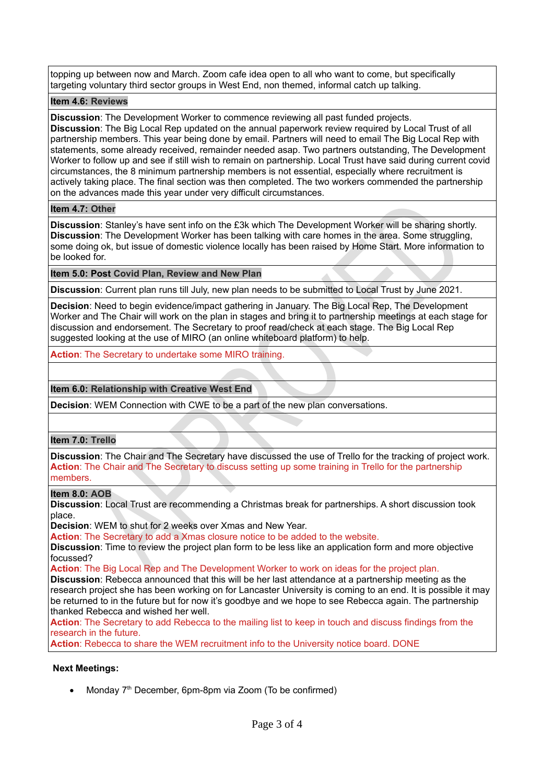topping up between now and March. Zoom cafe idea open to all who want to come, but specifically targeting voluntary third sector groups in West End, non themed, informal catch up talking.

### **Item 4.6: Reviews**

**Discussion**: The Development Worker to commence reviewing all past funded projects. **Discussion**: The Big Local Rep updated on the annual paperwork review required by Local Trust of all partnership members. This year being done by email. Partners will need to email The Big Local Rep with statements, some already received, remainder needed asap. Two partners outstanding, The Development Worker to follow up and see if still wish to remain on partnership. Local Trust have said during current covid circumstances, the 8 minimum partnership members is not essential, especially where recruitment is actively taking place. The final section was then completed. The two workers commended the partnership on the advances made this year under very difficult circumstances.

## **Item 4.7: Other**

**Discussion**: Stanley's have sent info on the £3k which The Development Worker will be sharing shortly. **Discussion**: The Development Worker has been talking with care homes in the area. Some struggling, some doing ok, but issue of domestic violence locally has been raised by Home Start. More information to be looked for.

# **Item 5.0: Post Covid Plan, Review and New Plan**

**Discussion**: Current plan runs till July, new plan needs to be submitted to Local Trust by June 2021.

**Decision**: Need to begin evidence/impact gathering in January. The Big Local Rep, The Development Worker and The Chair will work on the plan in stages and bring it to partnership meetings at each stage for discussion and endorsement. The Secretary to proof read/check at each stage. The Big Local Rep suggested looking at the use of MIRO (an online whiteboard platform) to help.

**Action**: The Secretary to undertake some MIRO training.

# **Item 6.0: Relationship with Creative West End**

**Decision**: WEM Connection with CWE to be a part of the new plan conversations.

# **Item 7.0: Trello**

**Discussion**: The Chair and The Secretary have discussed the use of Trello for the tracking of project work. **Action**: The Chair and The Secretary to discuss setting up some training in Trello for the partnership members.

### **Item 8.0: AOB**

**Discussion**: Local Trust are recommending a Christmas break for partnerships. A short discussion took place.

**Decision**: WEM to shut for 2 weeks over Xmas and New Year.

**Action**: The Secretary to add a Xmas closure notice to be added to the website.

**Discussion**: Time to review the project plan form to be less like an application form and more objective focussed?

**Action**: The Big Local Rep and The Development Worker to work on ideas for the project plan.

**Discussion**: Rebecca announced that this will be her last attendance at a partnership meeting as the research project she has been working on for Lancaster University is coming to an end. It is possible it may be returned to in the future but for now it's goodbye and we hope to see Rebecca again. The partnership thanked Rebecca and wished her well.

**Action**: The Secretary to add Rebecca to the mailing list to keep in touch and discuss findings from the research in the future.

**Action**: Rebecca to share the WEM recruitment info to the University notice board. DONE

### **Next Meetings:**

• Monday  $7<sup>th</sup>$  December, 6pm-8pm via Zoom (To be confirmed)